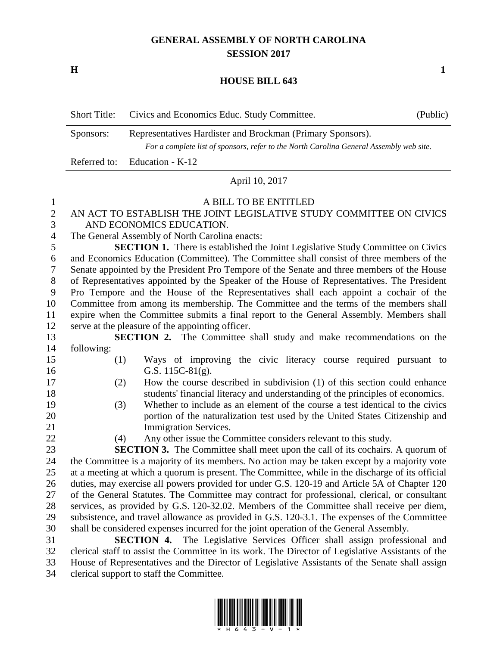# **GENERAL ASSEMBLY OF NORTH CAROLINA SESSION 2017**

**H 1**

### **HOUSE BILL 643**

| <b>Short Title:</b> | Civics and Economics Educ. Study Committee.                                             | (Public) |
|---------------------|-----------------------------------------------------------------------------------------|----------|
| Sponsors:           | Representatives Hardister and Brockman (Primary Sponsors).                              |          |
|                     | For a complete list of sponsors, refer to the North Carolina General Assembly web site. |          |
|                     | Referred to: Education - K-12                                                           |          |

#### April 10, 2017

#### A BILL TO BE ENTITLED

## AN ACT TO ESTABLISH THE JOINT LEGISLATIVE STUDY COMMITTEE ON CIVICS AND ECONOMICS EDUCATION.

The General Assembly of North Carolina enacts:

 **SECTION 1.** There is established the Joint Legislative Study Committee on Civics and Economics Education (Committee). The Committee shall consist of three members of the Senate appointed by the President Pro Tempore of the Senate and three members of the House of Representatives appointed by the Speaker of the House of Representatives. The President Pro Tempore and the House of the Representatives shall each appoint a cochair of the Committee from among its membership. The Committee and the terms of the members shall expire when the Committee submits a final report to the General Assembly. Members shall serve at the pleasure of the appointing officer.

 **SECTION 2.** The Committee shall study and make recommendations on the following:

- (1) Ways of improving the civic literacy course required pursuant to G.S. 115C-81(g).
- 
- 

 (2) How the course described in subdivision (1) of this section could enhance students' financial literacy and understanding of the principles of economics.

- (3) Whether to include as an element of the course a test identical to the civics portion of the naturalization test used by the United States Citizenship and 21 Immigration Services.
- 

(4) Any other issue the Committee considers relevant to this study.

 **SECTION 3.** The Committee shall meet upon the call of its cochairs. A quorum of the Committee is a majority of its members. No action may be taken except by a majority vote at a meeting at which a quorum is present. The Committee, while in the discharge of its official duties, may exercise all powers provided for under G.S. 120-19 and Article 5A of Chapter 120 of the General Statutes. The Committee may contract for professional, clerical, or consultant services, as provided by G.S. 120-32.02. Members of the Committee shall receive per diem, subsistence, and travel allowance as provided in G.S. 120-3.1. The expenses of the Committee shall be considered expenses incurred for the joint operation of the General Assembly.

 **SECTION 4.** The Legislative Services Officer shall assign professional and clerical staff to assist the Committee in its work. The Director of Legislative Assistants of the House of Representatives and the Director of Legislative Assistants of the Senate shall assign clerical support to staff the Committee.